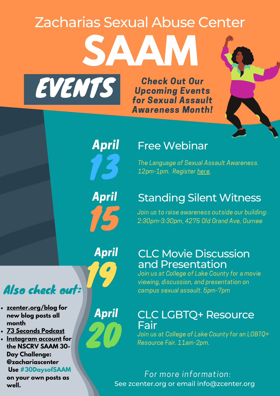# **SAAM** Zacharias Sexual Abuse Center

Check Out Our Upcoming Events for Sexual Assault Awareness Month!



April

EVENTS

13

#### Free Webinar

The Language of Sexual Assault Awareness. 12pm-1pm. Register [here](https://us02web.zoom.us/meeting/register/tZ0ud-quqD8tHdLNglf66SIoX7emmUWuiLsT).

April

### Standing Silent Witness

Join us to raise awareness outside our building:<br>2:30pm-3:30pm, 4275 Old Grand Ave, Gurnee

April

April

# Also check out:

- **[zcenter.org/blog](https://zcenter.org/blog/) for new blog posts all month**
- **73 [Seconds](https://www.spreaker.com/show/73-seconds) Podcast**
- **[Instagram](https://www.instagram.com/zachariascenter/) account for the NSCRV SAAM 30- Day Challenge: @zachariascenter Use #30DaysofSAAM**

**on your own posts as well.**

# 19

### CLC Movie Discussion and Presentation

Join us at College of Lake County for a movie viewing, discussion, and presentation on campus sexual assault. 5pm-7pm

#### CLC LGBTQ+ Resource **Fair**

Join us at College of Lake County for an LGBTQ+<br>Resource Fair. 11am-2pm.

See zcenter.org or email info@zcenter.org For more information: